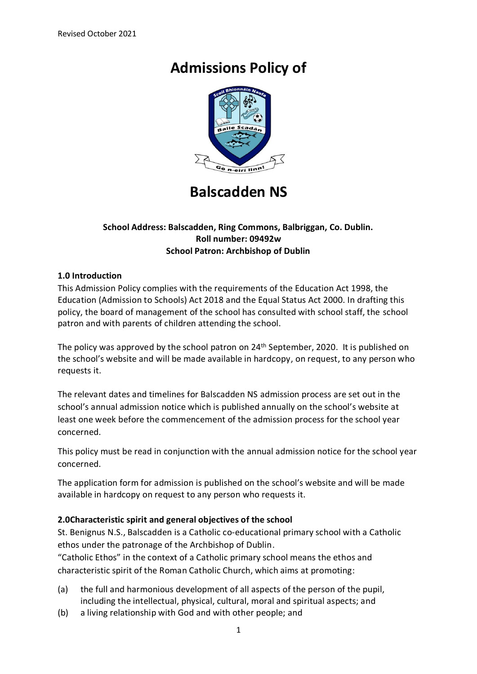# **Admissions Policy of**



# **Balscadden NS**

#### **School Address: Balscadden, Ring Commons, Balbriggan, Co. Dublin. Roll number: 09492w School Patron: Archbishop of Dublin**

#### **1.0 Introduction**

This Admission Policy complies with the requirements of the Education Act 1998, the Education (Admission to Schools) Act 2018 and the Equal Status Act 2000. In drafting this policy, the board of management of the school has consulted with school staff, the school patron and with parents of children attending the school.

The policy was approved by the school patron on 24<sup>th</sup> September, 2020. It is published on the school's website and will be made available in hardcopy, on request, to any person who requests it.

The relevant dates and timelines for Balscadden NS admission process are set out in the school's annual admission notice which is published annually on the school's website at least one week before the commencement of the admission process for the school year concerned.

This policy must be read in conjunction with the annual admission notice for the school year concerned.

The application form for admission is published on the school's website and will be made available in hardcopy on request to any person who requests it.

## **2.0Characteristic spirit and general objectives of the school**

St. Benignus N.S., Balscadden is a Catholic co-educational primary school with a Catholic ethos under the patronage of the Archbishop of Dublin.

"Catholic Ethos" in the context of a Catholic primary school means the ethos and characteristic spirit of the Roman Catholic Church, which aims at promoting:

- (a) the full and harmonious development of all aspects of the person of the pupil, including the intellectual, physical, cultural, moral and spiritual aspects; and
- (b) a living relationship with God and with other people; and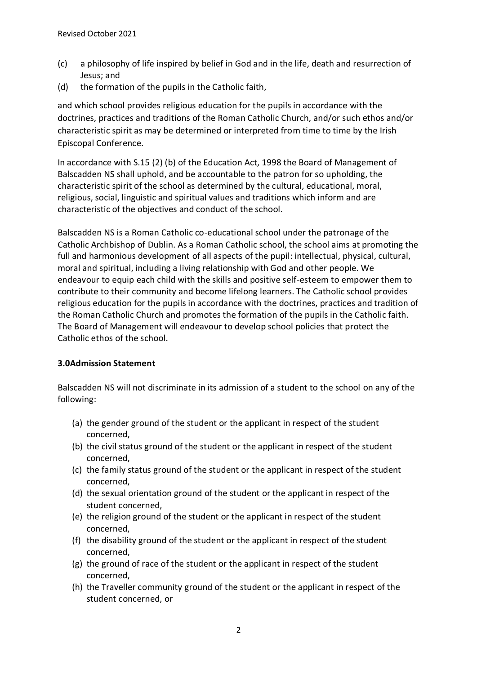- (c) a philosophy of life inspired by belief in God and in the life, death and resurrection of Jesus; and
- (d) the formation of the pupils in the Catholic faith,

and which school provides religious education for the pupils in accordance with the doctrines, practices and traditions of the Roman Catholic Church, and/or such ethos and/or characteristic spirit as may be determined or interpreted from time to time by the Irish Episcopal Conference.

In accordance with S.15 (2) (b) of the Education Act, 1998 the Board of Management of Balscadden NS shall uphold, and be accountable to the patron for so upholding, the characteristic spirit of the school as determined by the cultural, educational, moral, religious, social, linguistic and spiritual values and traditions which inform and are characteristic of the objectives and conduct of the school.

Balscadden NS is a Roman Catholic co-educational school under the patronage of the Catholic Archbishop of Dublin. As a Roman Catholic school, the school aims at promoting the full and harmonious development of all aspects of the pupil: intellectual, physical, cultural, moral and spiritual, including a living relationship with God and other people. We endeavour to equip each child with the skills and positive self-esteem to empower them to contribute to their community and become lifelong learners. The Catholic school provides religious education for the pupils in accordance with the doctrines, practices and tradition of the Roman Catholic Church and promotes the formation of the pupils in the Catholic faith. The Board of Management will endeavour to develop school policies that protect the Catholic ethos of the school.

# **3.0Admission Statement**

Balscadden NS will not discriminate in its admission of a student to the school on any of the following:

- (a) the gender ground of the student or the applicant in respect of the student concerned,
- (b) the civil status ground of the student or the applicant in respect of the student concerned,
- (c) the family status ground of the student or the applicant in respect of the student concerned,
- (d) the sexual orientation ground of the student or the applicant in respect of the student concerned,
- (e) the religion ground of the student or the applicant in respect of the student concerned,
- (f) the disability ground of the student or the applicant in respect of the student concerned,
- (g) the ground of race of the student or the applicant in respect of the student concerned,
- (h) the Traveller community ground of the student or the applicant in respect of the student concerned, or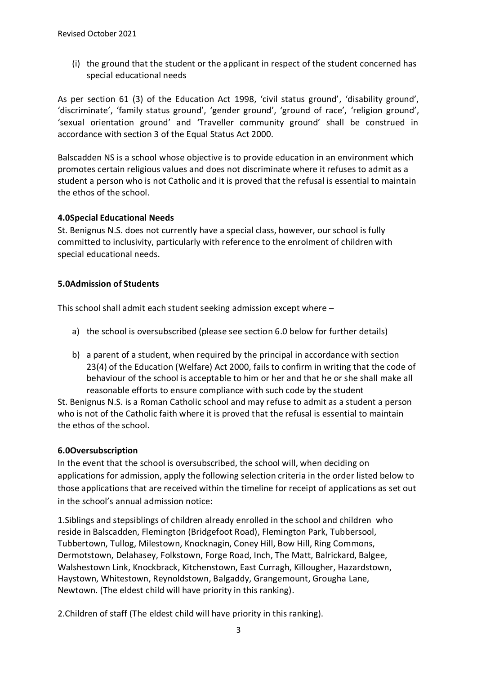(i) the ground that the student or the applicant in respect of the student concerned has special educational needs

As per section 61 (3) of the Education Act 1998, 'civil status ground', 'disability ground', 'discriminate', 'family status ground', 'gender ground', 'ground of race', 'religion ground', 'sexual orientation ground' and 'Traveller community ground' shall be construed in accordance with section 3 of the Equal Status Act 2000.

Balscadden NS is a school whose objective is to provide education in an environment which promotes certain religious values and does not discriminate where it refuses to admit as a student a person who is not Catholic and it is proved that the refusal is essential to maintain the ethos of the school.

## **4.0Special Educational Needs**

St. Benignus N.S. does not currently have a special class, however, our school is fully committed to inclusivity, particularly with reference to the enrolment of children with special educational needs.

# **5.0Admission of Students**

This school shall admit each student seeking admission except where –

- a) the school is oversubscribed (please see section 6.0 below for further details)
- b) a parent of a student, when required by the principal in accordance with section 23(4) of the Education (Welfare) Act 2000, fails to confirm in writing that the code of behaviour of the school is acceptable to him or her and that he or she shall make all reasonable efforts to ensure compliance with such code by the student

St. Benignus N.S. is a Roman Catholic school and may refuse to admit as a student a person who is not of the Catholic faith where it is proved that the refusal is essential to maintain the ethos of the school.

# **6.0Oversubscription**

In the event that the school is oversubscribed, the school will, when deciding on applications for admission, apply the following selection criteria in the order listed below to those applications that are received within the timeline for receipt of applications as set out in the school's annual admission notice:

1.Siblings and stepsiblings of children already enrolled in the school and children who reside in Balscadden, Flemington (Bridgefoot Road), Flemington Park, Tubbersool, Tubbertown, Tullog, Milestown, Knocknagin, Coney Hill, Bow Hill, Ring Commons, Dermotstown, Delahasey, Folkstown, Forge Road, Inch, The Matt, Balrickard, Balgee, Walshestown Link, Knockbrack, Kitchenstown, East Curragh, Killougher, Hazardstown, Haystown, Whitestown, Reynoldstown, Balgaddy, Grangemount, Grougha Lane, Newtown. (The eldest child will have priority in this ranking).

2.Children of staff (The eldest child will have priority in this ranking).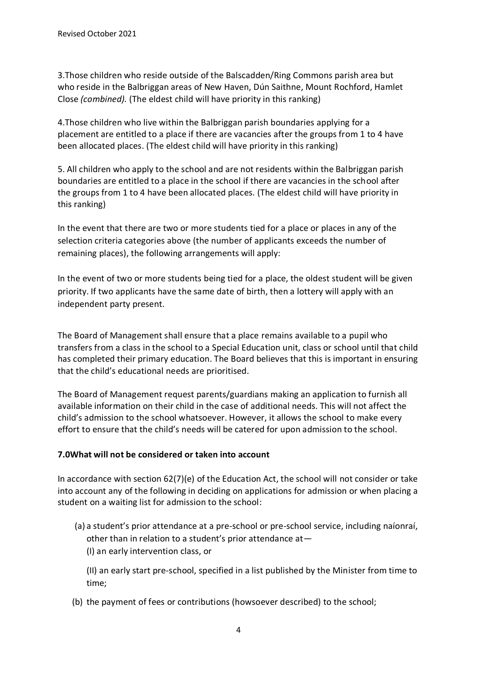3.Those children who reside outside of the Balscadden/Ring Commons parish area but who reside in the Balbriggan areas of New Haven, Dún Saithne, Mount Rochford, Hamlet Close *(combined).* (The eldest child will have priority in this ranking)

4.Those children who live within the Balbriggan parish boundaries applying for a placement are entitled to a place if there are vacancies after the groups from 1 to 4 have been allocated places. (The eldest child will have priority in this ranking)

5. All children who apply to the school and are not residents within the Balbriggan parish boundaries are entitled to a place in the school if there are vacancies in the school after the groups from 1 to 4 have been allocated places. (The eldest child will have priority in this ranking)

In the event that there are two or more students tied for a place or places in any of the selection criteria categories above (the number of applicants exceeds the number of remaining places), the following arrangements will apply:

In the event of two or more students being tied for a place, the oldest student will be given priority. If two applicants have the same date of birth, then a lottery will apply with an independent party present.

The Board of Management shall ensure that a place remains available to a pupil who transfers from a class in the school to a Special Education unit, class or school until that child has completed their primary education. The Board believes that this is important in ensuring that the child's educational needs are prioritised.

The Board of Management request parents/guardians making an application to furnish all available information on their child in the case of additional needs. This will not affect the child's admission to the school whatsoever. However, it allows the school to make every effort to ensure that the child's needs will be catered for upon admission to the school.

# **7.0What will not be considered or taken into account**

In accordance with section 62(7)(e) of the Education Act, the school will not consider or take into account any of the following in deciding on applications for admission or when placing a student on a waiting list for admission to the school:

(a) a student's prior attendance at a pre-school or pre-school service, including naíonraí, other than in relation to a student's prior attendance at— (I) an early intervention class, or

(II) an early start pre-school, specified in a list published by the Minister from time to time;

(b) the payment of fees or contributions (howsoever described) to the school;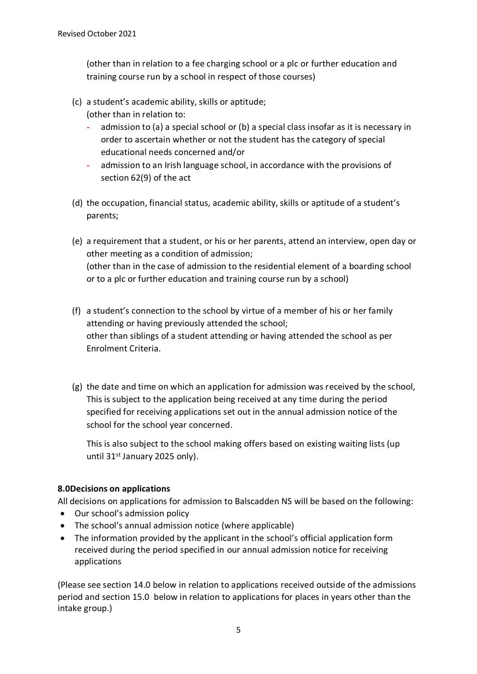(other than in relation to a fee charging school or a plc or further education and training course run by a school in respect of those courses)

- (c) a student's academic ability, skills or aptitude;
	- (other than in relation to: - admission to (a) a special school or (b) a special class insofar as it is necessary in order to ascertain whether or not the student has the category of special educational needs concerned and/or
	- admission to an Irish language school, in accordance with the provisions of section 62(9) of the act
- (d) the occupation, financial status, academic ability, skills or aptitude of a student's parents;
- (e) a requirement that a student, or his or her parents, attend an interview, open day or other meeting as a condition of admission; (other than in the case of admission to the residential element of a boarding school or to a plc or further education and training course run by a school)
- (f) a student's connection to the school by virtue of a member of his or her family attending or having previously attended the school; other than siblings of a student attending or having attended the school as per Enrolment Criteria.
- (g) the date and time on which an application for admission was received by the school, This is subject to the application being received at any time during the period specified for receiving applications set out in the annual admission notice of the school for the school year concerned.

This is also subject to the school making offers based on existing waiting lists (up until 31st January 2025 only).

# **8.0Decisions on applications**

All decisions on applications for admission to Balscadden NS will be based on the following:

- Our school's admission policy
- The school's annual admission notice (where applicable)
- The information provided by the applicant in the school's official application form received during the period specified in our annual admission notice for receiving applications

(Please see section 14.0 below in relation to applications received outside of the admissions period and [section 15.0](#page-7-0) below in relation to applications for places in years other than the intake group.)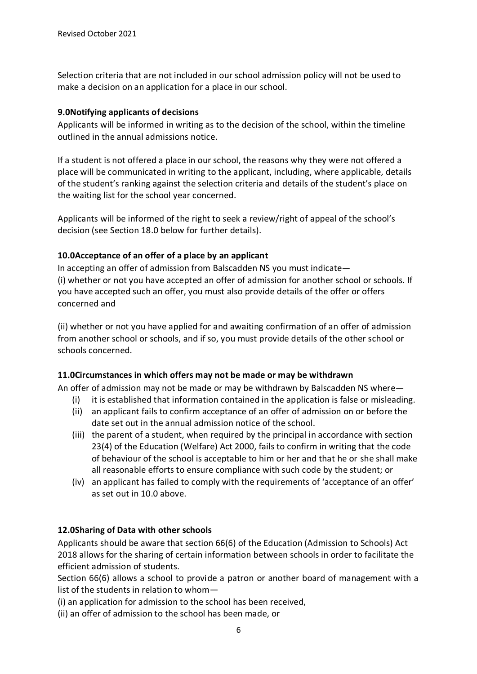Selection criteria that are not included in our school admission policy will not be used to make a decision on an application for a place in our school.

#### **9.0Notifying applicants of decisions**

Applicants will be informed in writing as to the decision of the school, within the timeline outlined in the annual admissions notice.

If a student is not offered a place in our school, the reasons why they were not offered a place will be communicated in writing to the applicant, including, where applicable, details of the student's ranking against the selection criteria and details of the student's place on the waiting list for the school year concerned.

Applicants will be informed of the right to seek a review/right of appeal of the school's decision (see [Section](#page-7-1) 18.0 below for further details).

## **10.0Acceptance of an offer of a place by an applicant**

In accepting an offer of admission from Balscadden NS you must indicate— (i) whether or not you have accepted an offer of admission for another school or schools. If you have accepted such an offer, you must also provide details of the offer or offers concerned and

(ii) whether or not you have applied for and awaiting confirmation of an offer of admission from another school or schools, and if so, you must provide details of the other school or schools concerned.

## **11.0Circumstances in which offers may not be made or may be withdrawn**

An offer of admission may not be made or may be withdrawn by Balscadden NS where—

- (i) it is established that information contained in the application is false or misleading.
- (ii) an applicant fails to confirm acceptance of an offer of admission on or before the date set out in the annual admission notice of the school.
- (iii) the parent of a student, when required by the principal in accordance with section 23(4) of the Education (Welfare) Act 2000, fails to confirm in writing that the code of behaviour of the school is acceptable to him or her and that he or she shall make all reasonable efforts to ensure compliance with such code by the student; or
- (iv) an applicant has failed to comply with the requirements of 'acceptance of an offer' as set out in 10.0 above.

## **12.0Sharing of Data with other schools**

Applicants should be aware that section 66(6) of the Education (Admission to Schools) Act 2018 allows for the sharing of certain information between schools in order to facilitate the efficient admission of students.

Section 66(6) allows a school to provide a patron or another board of management with a list of the students in relation to whom—

(i) an application for admission to the school has been received,

(ii) an offer of admission to the school has been made, or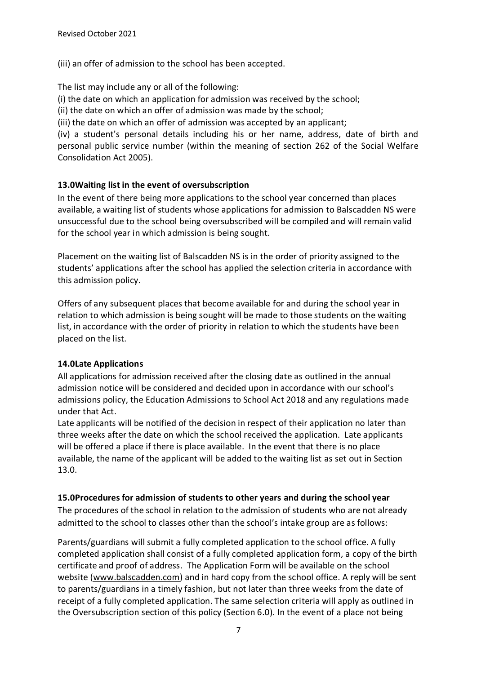(iii) an offer of admission to the school has been accepted.

The list may include any or all of the following:

(i) the date on which an application for admission was received by the school;

(ii) the date on which an offer of admission was made by the school;

(iii) the date on which an offer of admission was accepted by an applicant;

(iv) a student's personal details including his or her name, address, date of birth and personal public service number (within the meaning of section 262 of the Social Welfare Consolidation Act 2005).

## **13.0Waiting list in the event of oversubscription**

In the event of there being more applications to the school year concerned than places available, a waiting list of students whose applications for admission to Balscadden NS were unsuccessful due to the school being oversubscribed will be compiled and will remain valid for the school year in which admission is being sought.

Placement on the waiting list of Balscadden NS is in the order of priority assigned to the students' applications after the school has applied the selection criteria in accordance with this admission policy.

Offers of any subsequent places that become available for and during the school year in relation to which admission is being sought will be made to those students on the waiting list, in accordance with the order of priority in relation to which the students have been placed on the list.

## **14.0Late Applications**

All applications for admission received after the closing date as outlined in the annual admission notice will be considered and decided upon in accordance with our school's admissions policy, the Education Admissions to School Act 2018 and any regulations made under that Act.

Late applicants will be notified of the decision in respect of their application no later than three weeks after the date on which the school received the application. Late applicants will be offered a place if there is place available. In the event that there is no place available, the name of the applicant will be added to the waiting list as set out in Section 13.0.

## **15.0Procedures for admission of students to other years and during the school year**

The procedures of the school in relation to the admission of students who are not already admitted to the school to classes other than the school's intake group are as follows:

Parents/guardians will submit a fully completed application to the school office. A fully completed application shall consist of a fully completed application form, a copy of the birth certificate and proof of address. The Application Form will be available on the school website [\(www.balscadden.com\)](http://www.balscadden.com/) and in hard copy from the school office. A reply will be sent to parents/guardians in a timely fashion, but not later than three weeks from the date of receipt of a fully completed application. The same selection criteria will apply as outlined in the Oversubscription section of this policy (Section 6.0). In the event of a place not being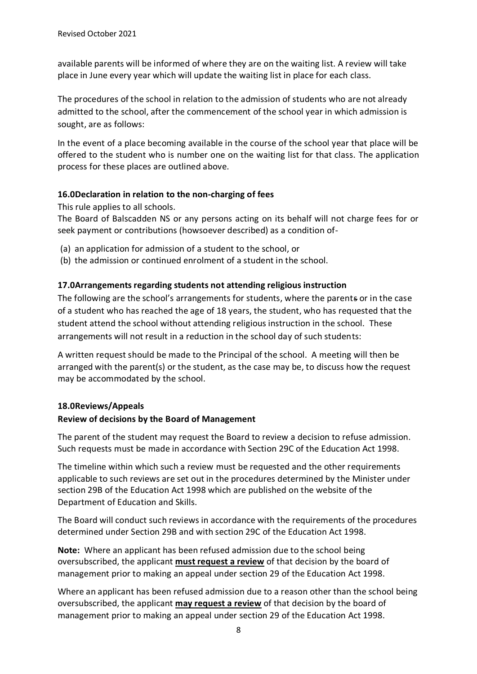available parents will be informed of where they are on the waiting list. A review will take place in June every year which will update the waiting list in place for each class.

The procedures of the school in relation to the admission of students who are not already admitted to the school, after the commencement of the school year in which admission is sought, are as follows:

In the event of a place becoming available in the course of the school year that place will be offered to the student who is number one on the waiting list for that class. The application process for these places are outlined above.

# <span id="page-7-0"></span>**16.0Declaration in relation to the non-charging of fees**

This rule applies to all schools.

The Board of Balscadden NS or any persons acting on its behalf will not charge fees for or seek payment or contributions (howsoever described) as a condition of-

- (a) an application for admission of a student to the school, or
- (b) the admission or continued enrolment of a student in the school.

# **17.0Arrangements regarding students not attending religious instruction**

The following are the school's arrangements for students, where the parents or in the case of a student who has reached the age of 18 years, the student, who has requested that the student attend the school without attending religious instruction in the school. These arrangements will not result in a reduction in the school day of such students:

A written request should be made to the Principal of the school. A meeting will then be arranged with the parent(s) or the student, as the case may be, to discuss how the request may be accommodated by the school.

# <span id="page-7-1"></span>**18.0Reviews/Appeals**

## **Review of decisions by the Board of Management**

The parent of the student may request the Board to review a decision to refuse admission. Such requests must be made in accordance with Section 29C of the Education Act 1998.

The timeline within which such a review must be requested and the other requirements applicable to such reviews are set out in the procedures determined by the Minister under section 29B of the Education Act 1998 which are published on the website of the Department of Education and Skills.

The Board will conduct such reviews in accordance with the requirements of the procedures determined under Section 29B and with section 29C of the Education Act 1998.

**Note:** Where an applicant has been refused admission due to the school being oversubscribed, the applicant **must request a review** of that decision by the board of management prior to making an appeal under section 29 of the Education Act 1998.

Where an applicant has been refused admission due to a reason other than the school being oversubscribed, the applicant **may request a review** of that decision by the board of management prior to making an appeal under section 29 of the Education Act 1998.